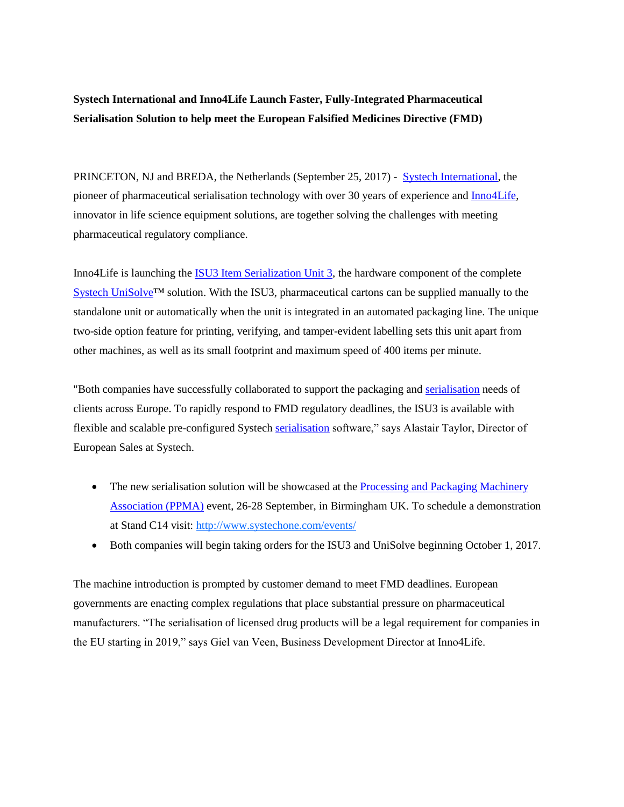**Systech International and Inno4Life Launch Faster, Fully-Integrated Pharmaceutical Serialisation Solution to help meet the European Falsified Medicines Directive (FMD)** 

PRINCETON, NJ and BREDA, the Netherlands (September 25, 2017) - [Systech International,](http://www.systechone.com/) the pioneer of pharmaceutical serialisation technology with over 30 years of experience and [Inno4Life,](http://www.inno4life.com/en/home) innovator in life science equipment solutions, are together solving the challenges with meeting pharmaceutical regulatory compliance.

Inno4Life is launching the [ISU3 Item Serialization Unit 3,](http://www.inno4life.com/en/solutions-and-services/equipment-and-support/item-serialisation-unit-i4l-isu3) the hardware component of the complete [Systech UniSolve™](http://www.systechone.com/solutions/serialization/unisolve/) solution. With the ISU3, pharmaceutical cartons can be supplied manually to the standalone unit or automatically when the unit is integrated in an automated packaging line. The unique two-side option feature for printing, verifying, and tamper-evident labelling sets this unit apart from other machines, as well as its small footprint and maximum speed of 400 items per minute.

"Both companies have successfully collaborated to support the packaging and [serialisation](http://www.systechone.com/solutions/eu-fmd-driving-compliance/) needs of clients across Europe. To rapidly respond to FMD regulatory deadlines, the ISU3 is available with flexible and scalable pre-configured Systech [serialisation](http://www.systechone.com/solutions/eu-fmd-driving-compliance/) software," says Alastair Taylor, Director of European Sales at Systech.

- The new serialisation solution will be showcased at the Processing and Packaging Machinery [Association \(PPMA\)](http://www.ppmashow.co.uk/) event, 26-28 September, in Birmingham UK. To schedule a demonstration at Stand C14 visit:<http://www.systechone.com/events/>
- Both companies will begin taking orders for the ISU3 and UniSolve beginning October 1, 2017.

The machine introduction is prompted by customer demand to meet FMD deadlines. European governments are enacting complex regulations that place substantial pressure on pharmaceutical manufacturers. "The serialisation of licensed drug products will be a legal requirement for companies in the EU starting in 2019," says Giel van Veen, Business Development Director at Inno4Life.